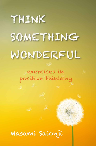# THINK SOMETHING WONDERFUL

## exercises in positive thinking

## Masami Saionji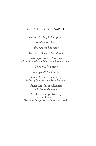#### ALSO BY MASAMI SAIONJI

*The Golden Key to Happiness Infinite Happiness You Are the Universe*

*The Earth Healer's Handbook*

*Vision for the 21st Century A Rebirth in Individual Responsibilities and Values*

*Cries of Life: poems*

*Evolving with the Universe*

*Living in the 21st Century An Era of Consciousness Transformation*

> *Genes and Cosmic Essences (with Kazuo Murakami)*

*You Can Change Yourself* a contribution to *You Can Change the World* by Ervin Laszlo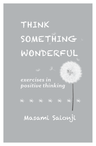## THINK SOMETHING WONDERFUL



\* \* \* \* \* \* \* \* Masami Saionji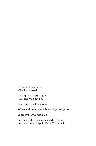© Masami Saionji 2016 All rights reserved

ISBN-13: 978-1-5328-3490-5 ISBN-10: 1-5328-3490-X

First edition published 2005

Related website: *www.thinksomethingwonderful.net*

Edited by Mary L. McQuaid

Cover and title page illustrations by Freepik Cover and book design by David W. Edelstein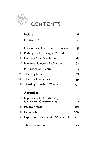

# **CONTENTS**

|               | Preface                                    | 6   |
|---------------|--------------------------------------------|-----|
|               | Introduction                               | 8   |
|               |                                            |     |
| L             | <b>Overturning Unwelcome Circumstances</b> | 15  |
| Ш             | Praising and Encouraging Yourself          | 41  |
| Ш             | Honoring Your Own Name                     | 61  |
| $\mathsf{IV}$ | Honoring Someone Else's Name               | 87  |
| V             | Honoring Nationalities                     | 113 |
| VI            | <b>Thanking Nature</b>                     | 133 |
| VII           | <b>Thanking Our Bodies</b>                 | 159 |
| VIII          | <b>Thinking Something Wonderful</b>        | 177 |
|               | <b>Appendices</b>                          |     |
|               |                                            |     |
| L             | <b>Expressions for Overturning</b>         |     |
|               | Unwelcome Circumstances                    | 197 |
| Ш             | <b>Positive Words</b>                      | 201 |
| Ш             | <b>Nationalities</b>                       | 209 |
| $\mathsf{IV}$ | Expressions Starting with 'Wonderful'      | 217 |
|               |                                            |     |
|               | About the Author                           | 220 |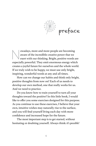

preface

wadays, more and more people are becoming<br>aware of the incredible creative power that we<br>exert with our thinking. Bright, positive words a<br>especially powerful. They emit enormous energy which aware of the incredible creative power that we exert with our thinking. Bright, positive words are especially powerful. They emit enormous energy which creates a joyful future for ourselves and the whole world. If we truly wish to be happy, we must use only bright, inspiring, wonderful words at any and all times.

How can we change our habits and think only bright, positive thoughts from now on? Each of us needs to develop our own method, one that really works for us. And we need to practice.

Do you know how to train yourself to turn all your thoughts toward the positive? In this little book, I would like to offer you some exercises designed for this purpose. As you continue to use these exercises, I believe that your own, intuitive wishes may naturally rise to the surface, and you will find yourself living each day with more confidence and increased hope for the future.

The most important step is to get started, without hesitating or doubting yourself. Always think: *it's possible!*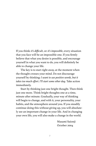If you think: *it's difficult*, or: *it's impossible*, every situation that you face will be an impossible one. If you firmly believe that what you desire is possible, and encourage yourself in what you want to do, you will definitely be able to change your life.

The key is to start right away, at the moment when the thought crosses your mind. Do not discourage yourself by thinking: *I want to use positive words, but it takes too much effort. I'll start some other day.* Take action immediately.

Start by thinking just one bright thought. Then think just one more. Think bright thoughts one at a time, minute after minute. Gradually, your way of thinking will begin to change, and with it, your personality, your habits, and the atmosphere around you. If you steadily continue doing this without giving up, you will absolutely see an important change in your life. And in changing your own life, you will also make a change in the world.

> Masami Saionji October 2004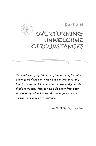

*You must never forget that every human being has latent, unconquerable power to repel any circumstance, any fate. If you succumb to your environment and your fate, that'll be the end. Nothing new will be born from your state of resignation. Constantly revive your power to overturn unwanted circumstances.*

from *The Golden Key to Happiness*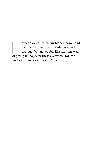we call forth our hidden power and<br>face each moment with confidence and<br>courage? When you feel like running away<br>or giving up hope, try these exercises. (You can face each moment with confidence and courage? When you feel like running away or giving up hope, try these exercises. (You can find additional examples in Appendix I.)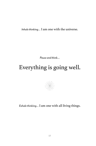*Pause and think…*

## Everything is going well.

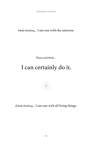*Pause and think…*

## I can certainly do it.

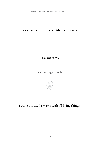*Pause and think…*

\_\_\_\_\_\_\_\_\_\_\_\_\_\_\_\_\_\_\_\_\_\_\_\_\_\_\_ your own original words

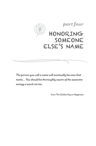

*The person you call a name will eventually become that name... You should be thoroughly aware of the awesome energy a word carries.*

from *The Golden Key to Happiness*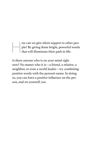w can we give silent support to other people? By giving them bright, powerful words that will illuminate their path in life. ple? By giving them bright, powerful words that will illuminate their path in life.

Is there anyone who is on your mind right now? No matter who it is—a friend, a relative, a neighbor, or even a world leader—try combining positive words with the person's name. In doing so, you can have a positive influence on the person, and on yourself, too.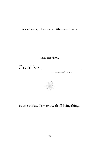*Pause and think…*



someone else's name

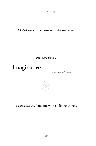*Pause and think…*



someone else's name

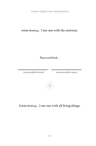*Pause and think…*

any wonderful word someone else's name

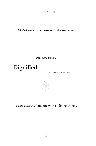*Pause and think…*



someone else's name

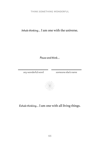*Pause and think…*

any wonderful word someone else's name

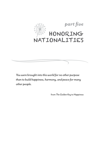

*You were brought into this world for no other purpose than to build happiness, harmony, and peace for many other people.*

from *The Golden Key to Happiness*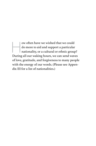w often have we wished that we could<br>do more to aid and support a particular<br>nationality, or a cultural or ethnic group<br>During all our waking hours, we can send way do more to aid and support a particular nationality, or a cultural or ethnic group? During all our waking hours, we can send waves of love, gratitude, and forgiveness to many people with the energy of our words. (Please see Appendix III for a list of nationalities.)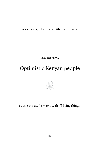*Pause and think…*

## Optimistic Kenyan people

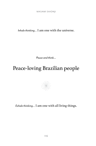*Pause and think…*

## Peace-loving Brazilian people

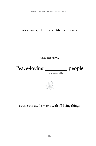THINK SOMETHING WONDERFUL

*Inhale thinking…* I am one with the universe.

*Pause and think…*



any nationality

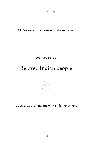*Pause and think…*

## Beloved Indian people

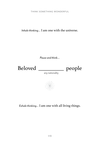THINK SOMETHING WONDERFUL

*Inhale thinking…* I am one with the universe.

*Pause and think…*

Beloved \_\_\_\_\_\_\_\_\_\_\_\_ people

any nationality

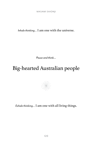*Pause and think…*

## Big-hearted Australian people

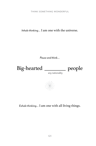THINK SOMETHING WONDERFUL

*Inhale thinking…* I am one with the universe.

*Pause and think…*



any nationality

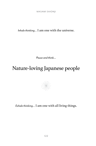*Pause and think…*

## Nature-loving Japanese people

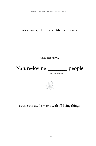THINK SOMETHING WONDERFUL

*Inhale thinking…* I am one with the universe.

*Pause and think…*

Nature-loving \_\_\_\_\_\_\_ people

any nationality

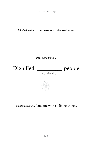*Pause and think…*



any nationality

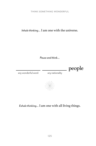THINK SOMETHING WONDERFUL

*Inhale thinking…* I am one with the universe.

*Pause and think…*

any wonderful word

 $\frac{1}{\text{may nationality}}$  people

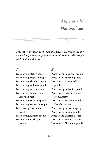### *Appendix III Nationalities*

*This list is intended as an example. Please feel free to use the name of any nationality, ethnic or cultural group, or other people not included in this list.*

#### *A*

Peace-loving Afghan people Peace-loving Albanian people Peace-loving Algerian people Peace-loving Andorran people Peace-loving Angolan people Peace-loving Antiguan and Barbudan people Peace-loving Argentine people Peace-loving Armenian people Peace-loving Australian people Peace-loving Austrian people Peace-loving Azerbaijani people

#### *B*

Peace-loving Bahamian people Peace-loving Bahraini people Peace-loving Bangladeshi people Peace-loving Barbadian people Peace-loving Basotho people (from Lesotho) Peace-loving Batswana people (from Botswana) Peace-loving Belarusian people Peace-loving Belgian people Peace-loving Belizean people Peace-loving Beninese people Peace-loving Bhutanese people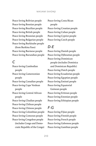Peace-loving Bolivian people Peace-loving Bosnian people Peace-loving Brazilian people Peace-loving British people Peace-loving Bruneian people Peace-loving Bulgarian people Peace-loving Burkinabe people (from Burkina Faso) Peace-loving Burmese people Peace-loving Burundian people

#### *C*

Peace-loving Cambodian people Peace-loving Cameroonian people Peace-loving Canadian people Peace-loving Cape Verdean people Peace-loving Central African people Peace-loving Chadian people Peace-loving Chilean people Peace-loving Chinese people Peace-loving Colombian people Peace-loving Comoran people Peace-loving Congolese people (includes Congo and Democratic Republic of the Congo)

Peace-loving Costa Rican people Peace-loving Croatian people Peace-loving Cuban people Peace-loving Cypriot people Peace-loving Czech people

#### *D-E*

Peace-loving Danish people Peace-loving Djiboutian people Peace-loving Dominican people (includes Dominica and Dominican Republic) Peace-loving Dutch people Peace-loving Ecuadorian people Peace-loving Egyptian people Peace-loving Emirati people Peace-loving Equatorial Guinean people Peace-loving Eritrean people Peace-loving Estonian people Peace-loving Ethiopian people

#### *F-G*

Peace-loving Fijian people Peace-loving Finnish people Peace-loving French people Peace-loving Gabonese people Peace-loving Gambian people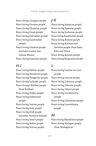Peace-loving Georgian people Peace-loving German people Peace-loving Ghanaian people Peace-loving Greek people Peace-loving Grenadian people Peace-loving Guatemalan people Peace-loving Guinean people (includes Guinea and Guinea-Bissau) Peace-loving Guyanese people

#### *H-I*

Peace-loving Haitian people Peace-loving Honduran people Peace-loving Hungarian people Peace-loving Icelandic people Peace-loving I-Kiribati people (from Kiribati) Peace-loving Indian people Peace-loving Indonesian people Peace-loving Iranian people Peace-loving Iraqi people Peace-loving Irish people (includes Northern Ireland) Peace-loving Israeli people Peace-loving Italian people Peace-loving Ivorian people

#### *J-K*

Peace-loving Jamaican people Peace-loving Japanese people Peace-loving Jordanian people Peace-loving Kazakhstani people Peace-loving Kenyan people Peace-loving Kittitian and Nevisian people (from Saint Kitts and Nevis) Peace-loving Kuwaiti people Peace-loving Kyrgyzstani people

#### *L*

Peace-loving Laotian (or Lao) people Peace-loving Latvian people Peace-loving Lebanese people Peace-loving Liberian people Peace-loving Libyan people Peace-loving Liechtenstein people Peace-loving Lithuanian people Peace-loving Luxembourg people

#### *M*

Peace-loving Macedonian people Peace-loving Malagasi people (from Madagascar)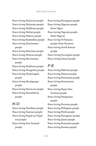#### MASAMI SAIONJI

Peace-loving Malawian people Peace-loving Malaysian people Peace-loving Maldivian people Peace-loving Malian people Peace-loving Maltese people Peace-loving Marshallese people Peace-loving Mauritanian people Peace-loving Mauritian people Peace-loving Mexican people Peace-loving Micronesian people Peace-loving Moldovan people Peace-loving Mongolian people Peace-loving Montenegrin people Peace-loving Monégasque people Peace-loving Moroccan people Peace-loving Mozambican people

#### *N-O*

Peace-loving Namibian people Peace-loving Nauruan people Peace-loving Nepali (or Nepalese) people Peace-loving New Zealand people

Peace-loving Nicaraguan people Peace-loving Nigerien people (from Niger) Peace-loving Nigerian people (from Nigeria) Peace-loving Ni-Vanuatu people (from Vanuatu) Peace-loving North Korean people Peace-loving Norwegian people Peace-loving Omani people

#### *P-R*

Peace-loving Pakistani people Peace-loving Palauan people Peace-loving Palestinian people Peace-loving Panamanian people Peace-loving Papua New Guinean people Peace-loving Paraguayan people Peace-loving Peruvian people Peace-loving Philippine people Peace-loving Polish people Peace-loving Portuguese people Peace-loving Qatari people Peace-loving Romanian people Peace-loving Russian people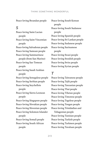Peace-loving Rwandan people

#### *S*

Peace-loving Saint Lucian people Peace-loving Saint Vincentian people Peace-loving Salvadoran people Peace-loving Samoan people Peace-loving Sammarinese people (from San Marino) Peace-loving Sao Tomean people Peace-loving Saudi Arabian people Peace-loving Senegalese people Peace-loving Serbian people Peace-loving Seychellois people Peace-loving Sierra Leonean people Peace-loving Singapore people Peace-loving Slovakian people Peace-loving Slovenian people Peace-loving Solomon Islander people Peace-loving Somali people Peace-loving South African people

Peace-loving South Korean people Peace-loving South Sudanese people Peace-loving Spanish people Peace-loving Sri Lankan people Peace-loving Sudanese people Peace-loving Surinamese people Peace-loving Swazi people Peace-loving Swedish people Peace-loving Swiss people Peace-loving Syrian people

#### *T*

Peace-loving Taiwanese people Peace-loving Tajik people Peace-loving Tanzanian people Peace-loving Thai people Peace-loving Tibetan people Peace-loving Timorese people Peace-loving Togolese people Peace-loving Tongan people Peace-loving Trinidadian and Tobagonian people

Peace-loving Tunisian people Peace-loving Turkish people Peace-loving Turkmen people Peace-loving Tuvaluan people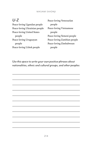| $U-Z$                         | Peace-loving Venezuelan     |  |
|-------------------------------|-----------------------------|--|
| Peace-loving Ugandan people   | people                      |  |
| Peace-loving Ukrainian people | Peace-loving Vietnamese     |  |
| Peace-loving United States    | people                      |  |
| people                        | Peace-loving Yemeni people  |  |
| Peace-loving Uruguayan        | Peace-loving Zambian people |  |
| people                        | Peace-loving Zimbabwean     |  |
| Peace-loving Uzbek people     | people                      |  |

*Use this space to write your own positive phrases about nationalities, ethnic and cultural groups, and other peoples:*